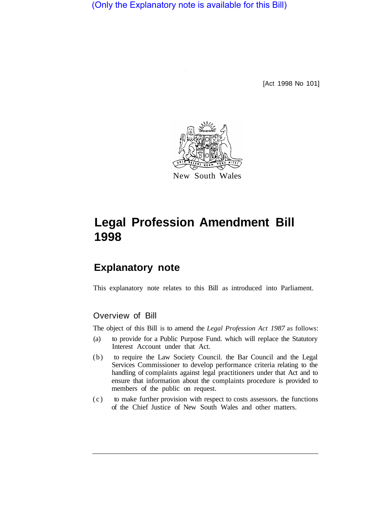(Only the Explanatory note is available for this Bill)

[Act 1998 No 101]



# **Legal Profession Amendment Bill 1998**

## **Explanatory note**

This explanatory note relates to this Bill as introduced into Parliament.

#### Overview of Bill

The object of this Bill is to amend the *Legal Profession Act 1987* as follows:

- (a) to provide for a Public Purpose Fund. which will replace the Statutory Interest Account under that Act.
- (b) to require the Law Society Council. the Bar Council and the Legal Services Commissioner to develop performance criteria relating to the handling of complaints against legal practitioners under that Act and to ensure that information about the complaints procedure is provided to members of the public on request.
- (c) to make further provision with respect to costs assessors. the functions of the Chief Justice of New South Wales and other matters.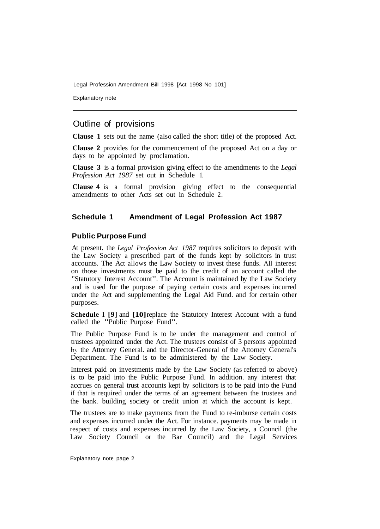Legal Profession Amendment Bill 1998 [Act 1998 No 101]

Explanatory note

### Outline of provisions

**Clause 1** sets out the name (also called the short title) of the proposed Act.

**Clause 2** provides for the commencement of the proposed Act on a day or days to be appointed by proclamation.

**Clause 3** is a formal provision giving effect to the amendments to the *Legal Profession Act 1987* set out in Schedule 1.

**Clause 4** is a formal provision giving effect to the consequential amendments to other Acts set out in Schedule 2.

#### **Schedule 1 Amendment of Legal Profession Act 1987**

#### **Public Purpose Fund**

At present. the *Legal Profession Act 1987* requires solicitors to deposit with the Law Society a prescribed part of the funds kept by solicitors in trust accounts. The Act allows the Law Society to invest these funds. All interest on those investments must be paid to the credit of an account called the "Statutory Interest Account". The Account is maintained by the Law Society and is used for the purpose of paying certain costs and expenses incurred under the Act and supplementing the Legal Aid Fund. and for certain other purposes.

**Schedule 1 [9] and [10] replace the Statutory Interest Account with a fund** called the "Public Purpose Fund".

The Public Purpose Fund is to be under the management and control of trustees appointed under the Act. The trustees consist of 3 persons appointed by the Attorney General. and the Director-General of the Attorney General's Department. The Fund is to be administered by the Law Society.

Interest paid on investments made by the Law Society (as referred to above) is to be paid into the Public Purpose Fund. In addition. any interest that accrues on general trust accounts kept by solicitors is to be paid into the Fund if that is required under the terms of an agreement between the trustees and the bank. building society or credit union at which the account is kept.

The trustees are to make payments from the Fund to re-imburse certain costs and expenses incurred under the Act. For instance. payments may be made in respect of costs and expenses incurred by the Law Society, a Council (the Law Society Council or the Bar Council) and the Legal Services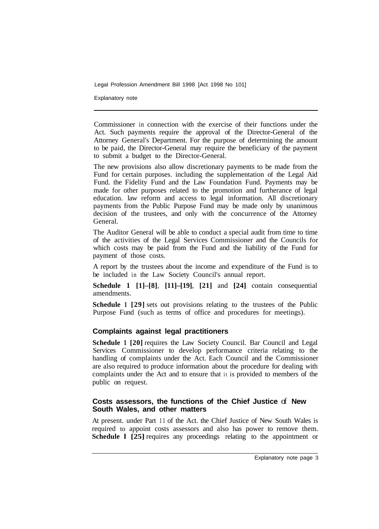Legal Profession Amendment Bill 1998 [Act 1998 No 101]

Explanatory note

Commissioner in connection with the exercise of their functions under the Act. Such payments require the approval of the Director-General of the Attorney General's Department. For the purpose of determining the amount to be paid, the Director-General may require the beneficiary of the payment to submit a budget to the Director-General.

The new provisions also allow discretionary payments to be made from the Fund for certain purposes. including the supplementation of the Legal Aid Fund. the Fidelity Fund and the Law Foundation Fund. Payments may be made for other purposes related to the promotion and furtherance of legal education. law reform and access to legal information. All discretionary payments from the Public Purpose Fund may be made only by unanimous decision of the trustees, and only with the concurrence of the Attorney General.

The Auditor General will be able to conduct a special audit from time to time of the activities of the Legal Services Commissioner and the Councils for which costs may be paid from the Fund and the liability of the Fund for payment of those costs.

A report by the trustees about the income and expenditure of the Fund is to be included in the Law Society Council's annual report.

**Schedule 1 [1]–[8]**, **[11]–[19]**, **[21]** and **[24]** contain consequential amendments.

**Schedule 1 [29]** sets out provisions relating to the trustees of the Public Purpose Fund (such as terms of office and procedures for meetings).

#### **Complaints against legal practitioners**

**Schedule 1 [20] requires the Law Society Council. Bar Council and Legal** Services Commissioner to develop performance criteria relating to the handling of complaints under the Act. Each Council and the Commissioner are also required to produce information about the procedure for dealing with complaints under the Act and to ensure that it is provided to members of the public on request.

#### **Costs assessors, the functions of the Chief Justice** of **New South Wales, and other matters**

At present. under Part 11 of the Act. the Chief Justice of New South Wales is required to appoint costs assessors and also has power to remove them. **Schedule 1 [25] requires any proceedings relating to the appointment or**